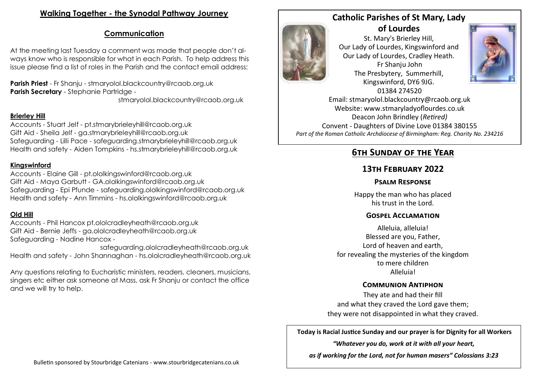# **Walking Together - the Synodal Pathway Journey**

# **Communication**

At the meeting last Tuesday a comment was made that people don't always know who is responsible for what in each Parish. To help address this issue please find a list of roles in the Parish and the contact email address:

**Parish Priest** - Fr Shanju - stmaryolol.blackcountry@rcaob.org.uk **Parish Secretary** - Stephanie Partridge -

stmaryolol.blackcountry@rcaob.org.uk

## **Brierley Hill**

Accounts - Stuart Jelf - pt.stmarybrieleyhill@rcaob.org.uk Gift Aid - Sheila Jelf - ga.stmarybrieleyhill@rcaob.org.uk Safeguarding - Lilli Pace - safeguarding.stmarybrieleyhill@rcaob.org.uk Health and safety - Aiden Tompkins - hs.stmarybrieleyhill@rcaob.org.uk

## **Kingswinford**

Accounts - Elaine Gill - pt.ololkingswinford@rcaob.org.uk Gift Aid - Maya Garbutt - GA.ololkingswinford@rcaob.org.uk Safeguarding - Epi Pfunde - safeguarding.ololkingswinford@rcaob.org.uk Health and safety - Ann Timmins - hs.ololkingswinford@rcaob.org.uk

## **Old Hill**

Accounts - Phil Hancox pt.ololcradleyheath@rcaob.org.uk Gift Aid - Bernie Jeffs - ga.ololcradleyheath@rcaob.org.uk Safeguarding - Nadine Hancox -

safeguarding.ololcradleyheath@rcaob.org.uk Health and safety - John Shannaghan - hs.ololcradleyheath@rcaob.org.uk

Any questions relating to Eucharistic ministers, readers, cleaners, musicians, singers etc either ask someone at Mass, ask Fr Shanju or contact the office and we will try to help.



## **Catholic Parishes of St Mary, Lady of Lourdes**

St. Mary's Brierley Hill, Our Lady of Lourdes, Kingswinford and Our Lady of Lourdes, Cradley Heath. Fr Shanju John The Presbytery, Summerhill, Kingswinford, DY6 9JG. 01384 274520



Email: stmaryolol.blackcountry@rcaob.org.uk Website: www.stmaryladyoflourdes.co.uk Deacon John Brindley (*Retired)* Convent - Daughters of Divine Love 01384 380155 *Part of the Roman Catholic Archdiocese of Birmingham: Reg. Charity No. 234216*

# **6th Sunday of the Year**

# **13th February 2022**

## **Psalm Response**

Happy the man who has placed his trust in the Lord.

## **Gospel Acclamation**

Alleluia, alleluia! Blessed are you, Father, Lord of heaven and earth, for revealing the mysteries of the kingdom to mere children Alleluia!

## **Communion Antiphon**

They ate and had their fill and what they craved the Lord gave them; they were not disappointed in what they craved.

**Today is Racial Justice Sunday and our prayer is for Dignity for all Workers**

*"Whatever you do, work at it with all your heart,* 

*as if working for the Lord, not for human masers" Colossians 3:23*